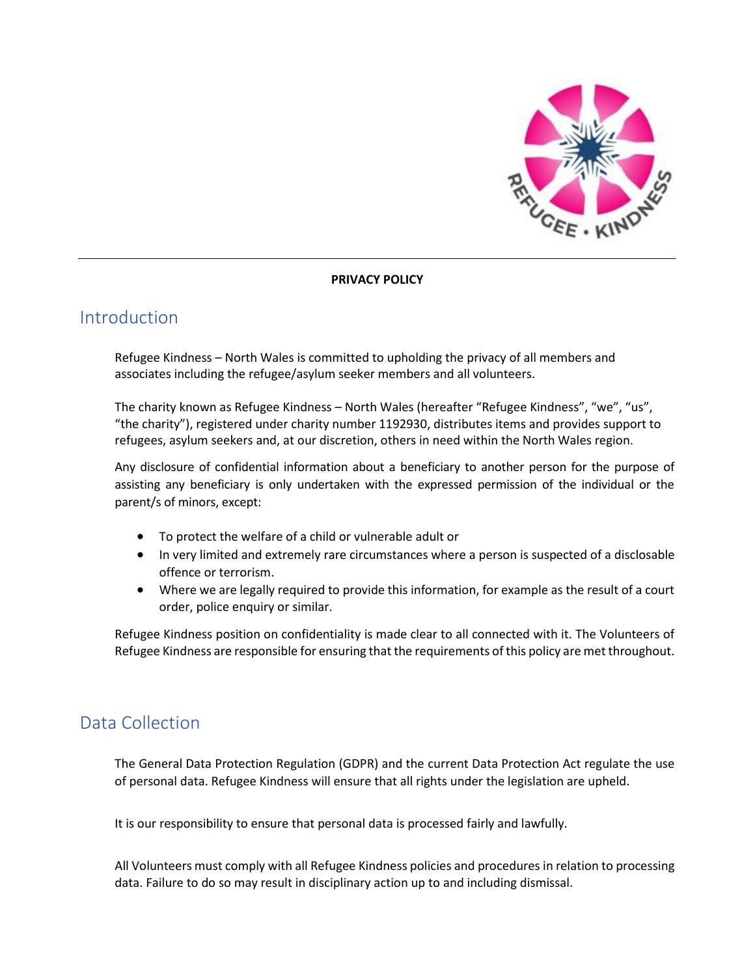

#### **PRIVACY POLICY**

## Introduction

Refugee Kindness – North Wales is committed to upholding the privacy of all members and associates including the refugee/asylum seeker members and all volunteers.

The charity known as Refugee Kindness – North Wales (hereafter "Refugee Kindness", "we", "us", "the charity"), registered under charity number 1192930, distributes items and provides support to refugees, asylum seekers and, at our discretion, others in need within the North Wales region.

Any disclosure of confidential information about a beneficiary to another person for the purpose of assisting any beneficiary is only undertaken with the expressed permission of the individual or the parent/s of minors, except:

- To protect the welfare of a child or vulnerable adult or
- In very limited and extremely rare circumstances where a person is suspected of a disclosable offence or terrorism.
- Where we are legally required to provide this information, for example as the result of a court order, police enquiry or similar.

Refugee Kindness position on confidentiality is made clear to all connected with it. The Volunteers of Refugee Kindness are responsible for ensuring that the requirements of this policy are met throughout.

## Data Collection

The General Data Protection Regulation (GDPR) and the current Data Protection Act regulate the use of personal data. Refugee Kindness will ensure that all rights under the legislation are upheld.

It is our responsibility to ensure that personal data is processed fairly and lawfully.

All Volunteers must comply with all Refugee Kindness policies and procedures in relation to processing data. Failure to do so may result in disciplinary action up to and including dismissal.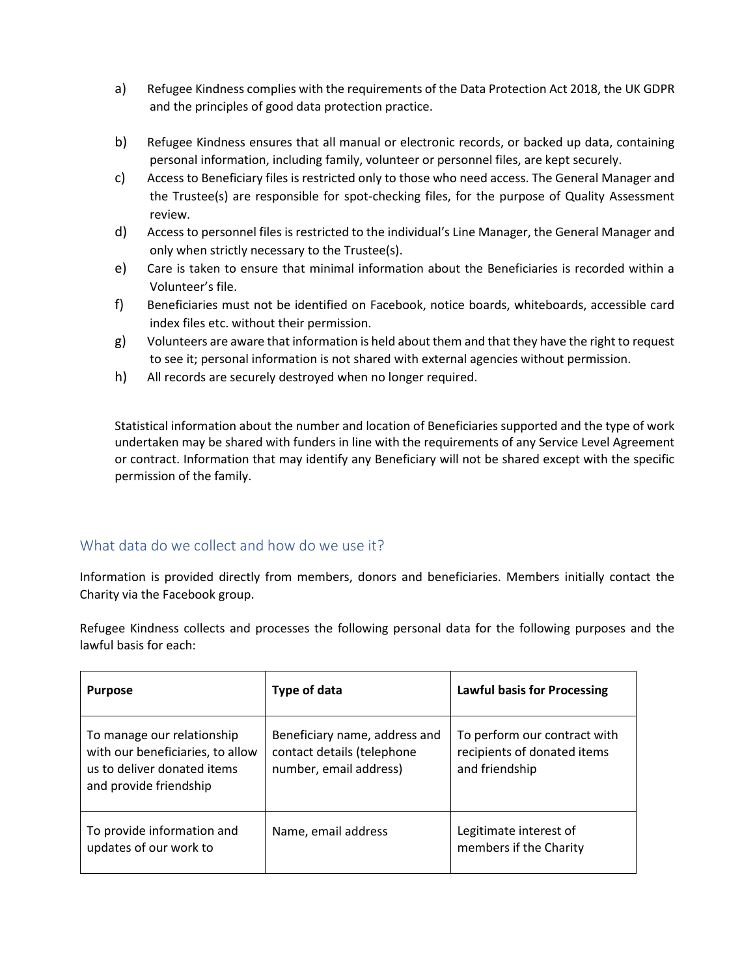- a) Refugee Kindness complies with the requirements of the Data Protection Act 2018, the UK GDPR and the principles of good data protection practice.
- b) Refugee Kindness ensures that all manual or electronic records, or backed up data, containing personal information, including family, volunteer or personnel files, are kept securely.
- c) Access to Beneficiary files is restricted only to those who need access. The General Manager and the Trustee(s) are responsible for spot-checking files, for the purpose of Quality Assessment review.
- d) Access to personnel files is restricted to the individual's Line Manager, the General Manager and only when strictly necessary to the Trustee(s).
- e) Care is taken to ensure that minimal information about the Beneficiaries is recorded within a Volunteer's file.
- f) Beneficiaries must not be identified on Facebook, notice boards, whiteboards, accessible card index files etc. without their permission.
- g) Volunteers are aware that information is held about them and that they have the right to request to see it; personal information is not shared with external agencies without permission.
- h) All records are securely destroyed when no longer required.

Statistical information about the number and location of Beneficiaries supported and the type of work undertaken may be shared with funders in line with the requirements of any Service Level Agreement or contract. Information that may identify any Beneficiary will not be shared except with the specific permission of the family.

#### What data do we collect and how do we use it?

Information is provided directly from members, donors and beneficiaries. Members initially contact the Charity via the Facebook group.

Refugee Kindness collects and processes the following personal data for the following purposes and the lawful basis for each:

| <b>Purpose</b>                                                                                                          | Type of data                                                                          | <b>Lawful basis for Processing</b>                                            |
|-------------------------------------------------------------------------------------------------------------------------|---------------------------------------------------------------------------------------|-------------------------------------------------------------------------------|
| To manage our relationship<br>with our beneficiaries, to allow<br>us to deliver donated items<br>and provide friendship | Beneficiary name, address and<br>contact details (telephone<br>number, email address) | To perform our contract with<br>recipients of donated items<br>and friendship |
| To provide information and<br>updates of our work to                                                                    | Name, email address                                                                   | Legitimate interest of<br>members if the Charity                              |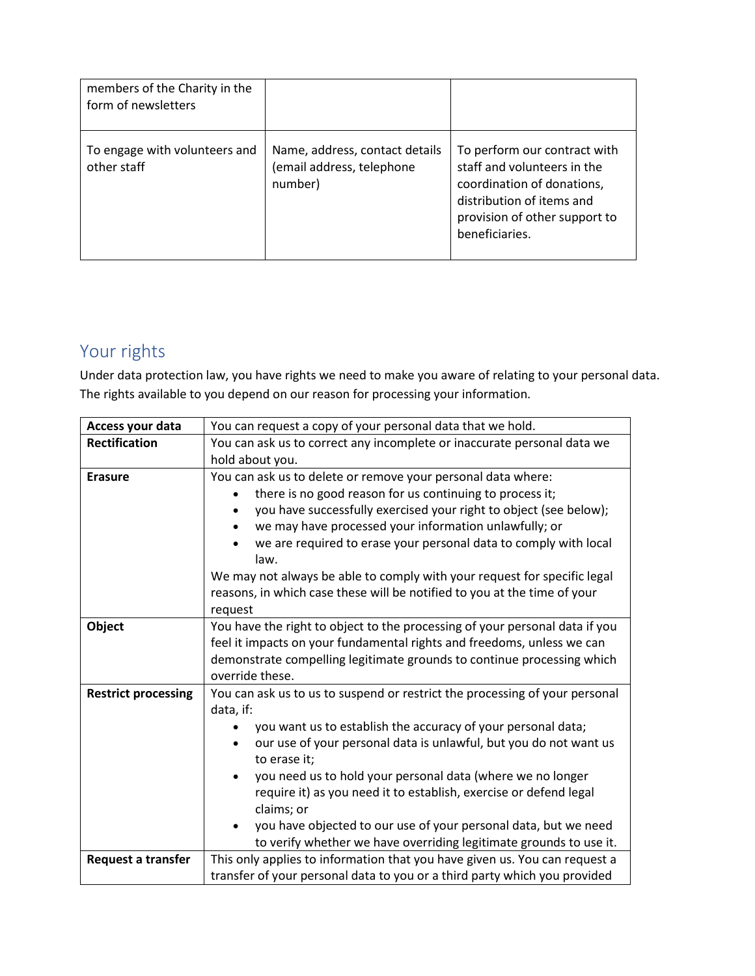| members of the Charity in the<br>form of newsletters |                                                                        |                                                                                                                                                                           |
|------------------------------------------------------|------------------------------------------------------------------------|---------------------------------------------------------------------------------------------------------------------------------------------------------------------------|
| To engage with volunteers and<br>other staff         | Name, address, contact details<br>(email address, telephone<br>number) | To perform our contract with<br>staff and volunteers in the<br>coordination of donations,<br>distribution of items and<br>provision of other support to<br>beneficiaries. |

# Your rights

Under data protection law, you have rights we need to make you aware of relating to your personal data. The rights available to you depend on our reason for processing your information.

| Access your data           | You can request a copy of your personal data that we hold.                                                                                              |  |  |
|----------------------------|---------------------------------------------------------------------------------------------------------------------------------------------------------|--|--|
| <b>Rectification</b>       | You can ask us to correct any incomplete or inaccurate personal data we                                                                                 |  |  |
|                            | hold about you.                                                                                                                                         |  |  |
| <b>Erasure</b>             | You can ask us to delete or remove your personal data where:                                                                                            |  |  |
|                            | there is no good reason for us continuing to process it;                                                                                                |  |  |
|                            | you have successfully exercised your right to object (see below);                                                                                       |  |  |
|                            | we may have processed your information unlawfully; or                                                                                                   |  |  |
|                            | we are required to erase your personal data to comply with local<br>law.                                                                                |  |  |
|                            | We may not always be able to comply with your request for specific legal                                                                                |  |  |
|                            | reasons, in which case these will be notified to you at the time of your                                                                                |  |  |
|                            | request                                                                                                                                                 |  |  |
| Object                     | You have the right to object to the processing of your personal data if you<br>feel it impacts on your fundamental rights and freedoms, unless we can   |  |  |
|                            |                                                                                                                                                         |  |  |
|                            | demonstrate compelling legitimate grounds to continue processing which                                                                                  |  |  |
|                            |                                                                                                                                                         |  |  |
|                            | override these.                                                                                                                                         |  |  |
| <b>Restrict processing</b> | You can ask us to us to suspend or restrict the processing of your personal                                                                             |  |  |
|                            | data, if:                                                                                                                                               |  |  |
|                            | you want us to establish the accuracy of your personal data;                                                                                            |  |  |
|                            | our use of your personal data is unlawful, but you do not want us                                                                                       |  |  |
|                            | to erase it;                                                                                                                                            |  |  |
|                            | you need us to hold your personal data (where we no longer                                                                                              |  |  |
|                            | require it) as you need it to establish, exercise or defend legal                                                                                       |  |  |
|                            | claims; or                                                                                                                                              |  |  |
|                            | you have objected to our use of your personal data, but we need                                                                                         |  |  |
|                            | to verify whether we have overriding legitimate grounds to use it.                                                                                      |  |  |
| <b>Request a transfer</b>  | This only applies to information that you have given us. You can request a<br>transfer of your personal data to you or a third party which you provided |  |  |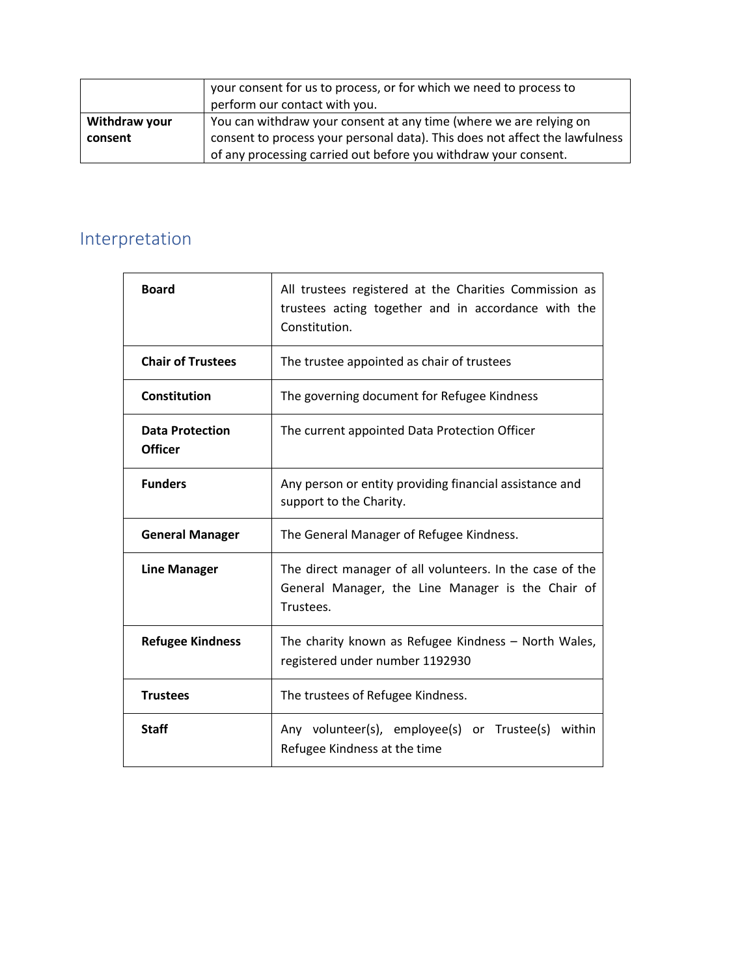|               | your consent for us to process, or for which we need to process to<br>perform our contact with you. |  |
|---------------|-----------------------------------------------------------------------------------------------------|--|
| Withdraw your | You can withdraw your consent at any time (where we are relying on                                  |  |
| consent       | consent to process your personal data). This does not affect the lawfulness                         |  |
|               | of any processing carried out before you withdraw your consent.                                     |  |

# Interpretation

| <b>Board</b>                             | All trustees registered at the Charities Commission as<br>trustees acting together and in accordance with the<br>Constitution. |  |
|------------------------------------------|--------------------------------------------------------------------------------------------------------------------------------|--|
| <b>Chair of Trustees</b>                 | The trustee appointed as chair of trustees                                                                                     |  |
| Constitution                             | The governing document for Refugee Kindness                                                                                    |  |
| <b>Data Protection</b><br><b>Officer</b> | The current appointed Data Protection Officer                                                                                  |  |
| <b>Funders</b>                           | Any person or entity providing financial assistance and<br>support to the Charity.                                             |  |
| <b>General Manager</b>                   | The General Manager of Refugee Kindness.                                                                                       |  |
| <b>Line Manager</b>                      | The direct manager of all volunteers. In the case of the<br>General Manager, the Line Manager is the Chair of<br>Trustees.     |  |
| <b>Refugee Kindness</b>                  | The charity known as Refugee Kindness - North Wales,<br>registered under number 1192930                                        |  |
| <b>Trustees</b>                          | The trustees of Refugee Kindness.                                                                                              |  |
| <b>Staff</b>                             | Any volunteer(s), employee(s) or Trustee(s) within<br>Refugee Kindness at the time                                             |  |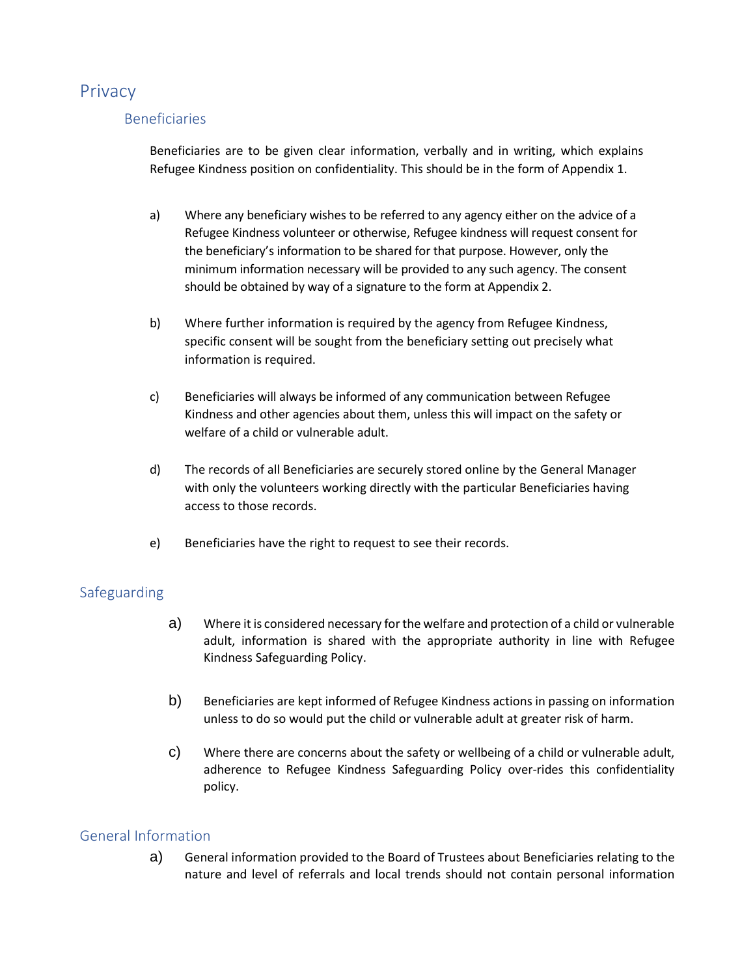## **Privacy**

### Beneficiaries

Beneficiaries are to be given clear information, verbally and in writing, which explains Refugee Kindness position on confidentiality. This should be in the form of Appendix 1.

- a) Where any beneficiary wishes to be referred to any agency either on the advice of a Refugee Kindness volunteer or otherwise, Refugee kindness will request consent for the beneficiary's information to be shared for that purpose. However, only the minimum information necessary will be provided to any such agency. The consent should be obtained by way of a signature to the form at Appendix 2.
- b) Where further information is required by the agency from Refugee Kindness, specific consent will be sought from the beneficiary setting out precisely what information is required.
- c) Beneficiaries will always be informed of any communication between Refugee Kindness and other agencies about them, unless this will impact on the safety or welfare of a child or vulnerable adult.
- d) The records of all Beneficiaries are securely stored online by the General Manager with only the volunteers working directly with the particular Beneficiaries having access to those records.
- e) Beneficiaries have the right to request to see their records.

### Safeguarding

- a) Where it is considered necessary for the welfare and protection of a child or vulnerable adult, information is shared with the appropriate authority in line with Refugee Kindness Safeguarding Policy.
- b) Beneficiaries are kept informed of Refugee Kindness actions in passing on information unless to do so would put the child or vulnerable adult at greater risk of harm.
- c) Where there are concerns about the safety or wellbeing of a child or vulnerable adult, adherence to Refugee Kindness Safeguarding Policy over-rides this confidentiality policy.

#### General Information

a) General information provided to the Board of Trustees about Beneficiaries relating to the nature and level of referrals and local trends should not contain personal information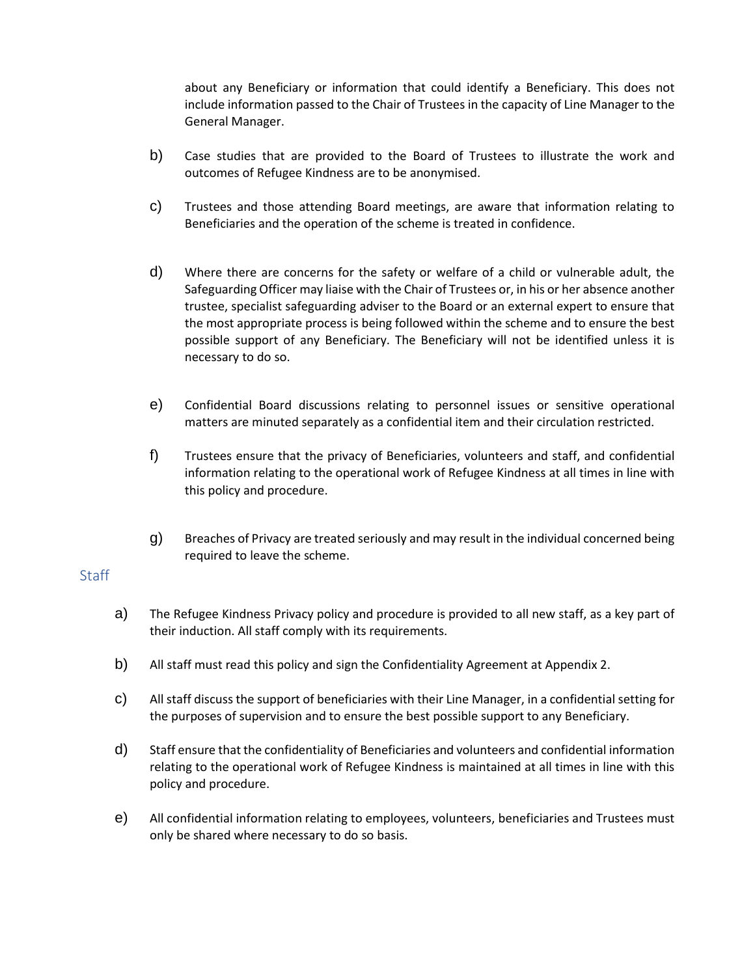about any Beneficiary or information that could identify a Beneficiary. This does not include information passed to the Chair of Trustees in the capacity of Line Manager to the General Manager.

- b) Case studies that are provided to the Board of Trustees to illustrate the work and outcomes of Refugee Kindness are to be anonymised.
- c) Trustees and those attending Board meetings, are aware that information relating to Beneficiaries and the operation of the scheme is treated in confidence.
- d) Where there are concerns for the safety or welfare of a child or vulnerable adult, the Safeguarding Officer may liaise with the Chair of Trustees or, in his or her absence another trustee, specialist safeguarding adviser to the Board or an external expert to ensure that the most appropriate process is being followed within the scheme and to ensure the best possible support of any Beneficiary. The Beneficiary will not be identified unless it is necessary to do so.
- e) Confidential Board discussions relating to personnel issues or sensitive operational matters are minuted separately as a confidential item and their circulation restricted.
- f) Trustees ensure that the privacy of Beneficiaries, volunteers and staff, and confidential information relating to the operational work of Refugee Kindness at all times in line with this policy and procedure.
- g) Breaches of Privacy are treated seriously and may result in the individual concerned being required to leave the scheme.

#### **Staff**

- a) The Refugee Kindness Privacy policy and procedure is provided to all new staff, as a key part of their induction. All staff comply with its requirements.
- b) All staff must read this policy and sign the Confidentiality Agreement at Appendix 2.
- c) All staff discuss the support of beneficiaries with their Line Manager, in a confidential setting for the purposes of supervision and to ensure the best possible support to any Beneficiary.
- d) Staff ensure that the confidentiality of Beneficiaries and volunteers and confidential information relating to the operational work of Refugee Kindness is maintained at all times in line with this policy and procedure.
- e) All confidential information relating to employees, volunteers, beneficiaries and Trustees must only be shared where necessary to do so basis.